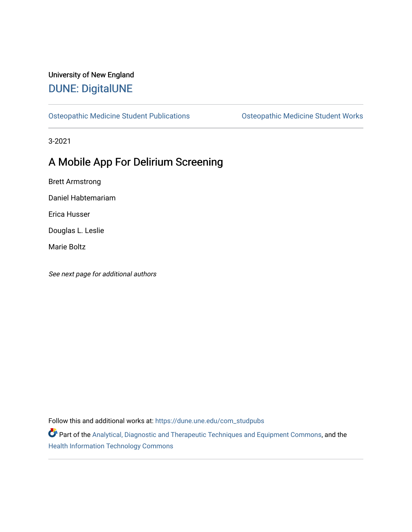# University of New England [DUNE: DigitalUNE](https://dune.une.edu/)

[Osteopathic Medicine Student Publications](https://dune.une.edu/com_studpubs) [Osteopathic Medicine Student Works](https://dune.une.edu/com_student) 

3-2021

# A Mobile App For Delirium Screening

Brett Armstrong

Daniel Habtemariam

Erica Husser

Douglas L. Leslie

Marie Boltz

See next page for additional authors

Follow this and additional works at: [https://dune.une.edu/com\\_studpubs](https://dune.une.edu/com_studpubs?utm_source=dune.une.edu%2Fcom_studpubs%2F3&utm_medium=PDF&utm_campaign=PDFCoverPages) 

Part of the [Analytical, Diagnostic and Therapeutic Techniques and Equipment Commons](http://network.bepress.com/hgg/discipline/899?utm_source=dune.une.edu%2Fcom_studpubs%2F3&utm_medium=PDF&utm_campaign=PDFCoverPages), and the [Health Information Technology Commons](http://network.bepress.com/hgg/discipline/1239?utm_source=dune.une.edu%2Fcom_studpubs%2F3&utm_medium=PDF&utm_campaign=PDFCoverPages)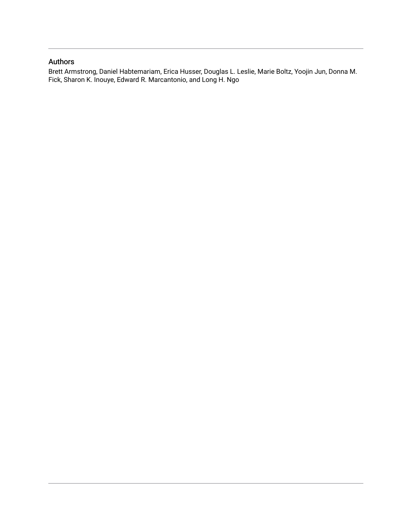## Authors

Brett Armstrong, Daniel Habtemariam, Erica Husser, Douglas L. Leslie, Marie Boltz, Yoojin Jun, Donna M. Fick, Sharon K. Inouye, Edward R. Marcantonio, and Long H. Ngo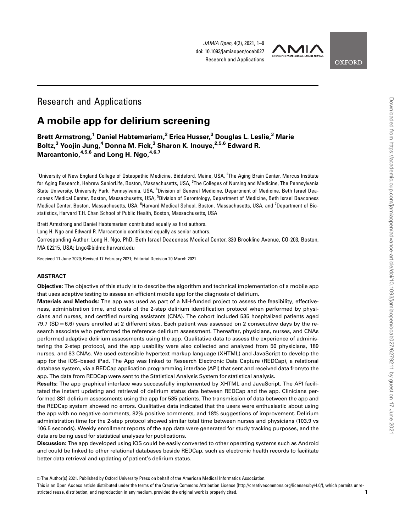JAMIA Open, 4(2), 2021, 1–9 doi: 10.1093/jamiaopen/ooab027 Research and Applications



**OXFORD** 

## Research and Applications

## A mobile app for delirium screening

Brett Armstrong,<sup>1</sup> Daniel Habtemariam,<sup>2</sup> Erica Husser,<sup>3</sup> Douglas L. Leslie,<sup>3</sup> Marie Boltz,<sup>3</sup> Yoojin Jung,<sup>4</sup> Donna M. Fick,<sup>3</sup> Sharon K. Inouye,<sup>2,5,6</sup> Edward R. Marcantonio, <sup>4,5,6</sup> and Long H. Ngo, <sup>4,6,7</sup>

<sup>1</sup>University of New England College of Osteopathic Medicine, Biddeford, Maine, USA, <sup>2</sup>The Aging Brain Center, Marcus Institute for Aging Research, Hebrew SeniorLife, Boston, Massachusetts, USA, <sup>3</sup>The Colleges of Nursing and Medicine, The Pennsylvania State University, University Park, Pennsylvania, USA, <sup>4</sup>Division of General Medicine, Department of Medicine, Beth Israel Deaconess Medical Center, Boston, Massachusetts, USA, <sup>5</sup>Division of Gerontology, Department of Medicine, Beth Israel Deaconess Medical Center, Boston, Massachusetts, USA, <sup>6</sup>Harvard Medical School, Boston, Massachusetts, USA, and <sup>7</sup>Department of Biostatistics, Harvard T.H. Chan School of Public Health, Boston, Massachusetts, USA

Brett Armstrong and Daniel Habtemariam contributed equally as first authors.

Long H. Ngo and Edward R. Marcantonio contributed equally as senior authors.

Corresponding Author: Long H. Ngo, PhD, Beth Israel Deaconess Medical Center, 330 Brookline Avenue, CO-203, Boston, MA 02215, USA; Lngo@bidmc.harvard.edu

Received 11 June 2020; Revised 17 February 2021; Editorial Decision 20 March 2021

#### ABSTRACT

Objective: The objective of this study is to describe the algorithm and technical implementation of a mobile app that uses adaptive testing to assess an efficient mobile app for the diagnosis of delirium.

Materials and Methods: The app was used as part of a NIH-funded project to assess the feasibility, effectiveness, administration time, and costs of the 2-step delirium identification protocol when performed by physicians and nurses, and certified nursing assistants (CNA). The cohort included 535 hospitalized patients aged  $79.7$  (SD  $= 6.6$ ) years enrolled at 2 different sites. Each patient was assessed on 2 consecutive days by the research associate who performed the reference delirium assessment. Thereafter, physicians, nurses, and CNAs performed adaptive delirium assessments using the app. Qualitative data to assess the experience of administering the 2-step protocol, and the app usability were also collected and analyzed from 50 physicians, 189 nurses, and 83 CNAs. We used extensible hypertext markup language (XHTML) and JavaScript to develop the app for the iOS–based iPad. The App was linked to Research Electronic Data Capture (REDCap), a relational database system, via a REDCap application programming interface (API) that sent and received data from/to the app. The data from REDCap were sent to the Statistical Analysis System for statistical analysis.

Results: The app graphical interface was successfully implemented by XHTML and JavaScript. The API facilitated the instant updating and retrieval of delirium status data between REDCap and the app. Clinicians performed 881 delirium assessments using the app for 535 patients. The transmission of data between the app and the REDCap system showed no errors. Qualitative data indicated that the users were enthusiastic about using the app with no negative comments, 82% positive comments, and 18% suggestions of improvement. Delirium administration time for the 2-step protocol showed similar total time between nurses and physicians (103.9 vs 106.5 seconds). Weekly enrollment reports of the app data were generated for study tracking purposes, and the data are being used for statistical analyses for publications.

Discussion: The app developed using iOS could be easily converted to other operating systems such as Android and could be linked to other relational databases beside REDCap, such as electronic health records to facilitate better data retrieval and updating of patient's delirium status.

V<sup>C</sup> The Author(s) 2021. Published by Oxford University Press on behalf of the American Medical Informatics Association.

This is an Open Access article distributed under the terms of the Creative Commons Attribution License (http://creativecommons.org/licenses/by/4.0/), which permits unrestricted reuse, distribution, and reproduction in any medium, provided the original work is properly cited. 1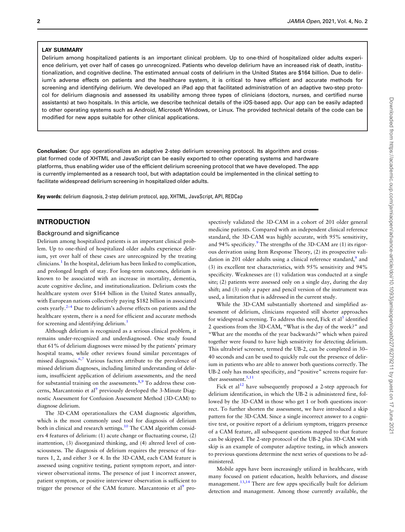### LAY SUMMARY

Delirium among hospitalized patients is an important clinical problem. Up to one-third of hospitalized older adults experience delirium, yet over half of cases go unrecognized. Patients who develop delirium have an increased risk of death, institutionalization, and cognitive decline. The estimated annual costs of delirium in the United States are \$164 billion. Due to delirium's adverse effects on patients and the healthcare system, it is critical to have efficient and accurate methods for screening and identifying delirium. We developed an iPad app that facilitated administration of an adaptive two-step protocol for delirium diagnosis and assessed its usability among three types of clinicians (doctors, nurses, and certified nurse assistants) at two hospitals. In this article, we describe technical details of the iOS-based app. Our app can be easily adapted to other operating systems such as Android, Microsoft Windows, or Linux. The provided technical details of the code can be modified for new apps suitable for other clinical applications.

Conclusion: Our app operationalizes an adaptive 2-step delirium screening protocol. Its algorithm and crossplat formed code of XHTML and JavaScript can be easily exported to other operating systems and hardware platforms, thus enabling wider use of the efficient delirium screening protocol that we have developed. The app is currently implemented as a research tool, but with adaptation could be implemented in the clinical setting to facilitate widespread delirium screening in hospitalized older adults.

Key words: delirium diagnosis, 2-step delirium protocol, app, XHTML, JavaScript, API, REDCap

## INTRODUCTION

### Background and significance

Delirium among hospitalized patients is an important clinical problem. Up to one-third of hospitalized older adults experience delirium, yet over half of these cases are unrecognized by the treating clinicians.<sup>[1](#page-9-0)</sup> In the hospital, delirium has been linked to complication, and prolonged length of stay. For long-term outcomes, delirium is known to be associated with an increase in mortality, dementia, acute cognitive decline, and institutionalization. Delirium costs the healthcare system over \$164 billion in the United States annually, with European nations collectively paying \$182 billion in associated costs yearly. $2-4$  Due to delirium's adverse effects on patients and the healthcare system, there is a need for efficient and accurate methods for screening and identifying delirium.<sup>[5](#page-9-0)</sup>

Although delirium is recognized as a serious clinical problem, it remains under-recognized and underdiagnosed. One study found that 61% of delirium diagnoses were missed by the patients' primary hospital teams, while other reviews found similar percentages of missed diagnosis.<sup>6,7</sup> Various factors attribute to the prevalence of missed delirium diagnoses, including limited understanding of delirium, insufficient application of delirium assessments, and the need for substantial training on the assessments. $8,9$  $8,9$  $8,9$  To address these concerns, Marcantonio et al<sup>9</sup> previously developed the 3-Minute Diagnostic Assessment for Confusion Assessment Method (3D-CAM) to diagnose delirium.

The 3D-CAM operationalizes the CAM diagnostic algorithm, which is the most commonly used tool for diagnosis of delirium both in clinical and research settings.<sup>[10](#page-9-0)</sup> The CAM algorithm considers 4 features of delirium: (1) acute change or fluctuating course, (2) inattention, (3) disorganized thinking, and (4) altered level of consciousness. The diagnosis of delirium requires the presence of features 1, 2, and either 3 or 4. In the 3D-CAM, each CAM feature is assessed using cognitive testing, patient symptom report, and interviewer observational items. The presence of just 1 incorrect answer, patient symptom, or positive interviewer observation is sufficient to trigger the presence of the CAM feature. Marcantonio et al<sup>9</sup> prospectively validated the 3D-CAM in a cohort of 201 older general medicine patients. Compared with an independent clinical reference standard, the 3D-CAM was highly accurate, with 95% sensitivity, and [9](#page-9-0)4% specificity. $\frac{9}{2}$  The strengths of the 3D-CAM are (1) its rigorous derivation using Item Response Theory, (2) its prospective vali-dation in 201 older adults using a clinical reference standard,<sup>[9](#page-9-0)</sup> and (3) its excellent test characteristics, with 95% sensitivity and 94% specificity. Weaknesses are (1) validation was conducted at a single site; (2) patients were assessed only on a single day, during the day shift; and (3) only a paper and pencil version of the instrument was used, a limitation that is addressed in the current study.

While the 3D-CAM substantially shortened and simplified assessment of delirium, clinicians requested still shorter approaches for widespread screening. To address this need, Fick et al<sup>[5](#page-9-0)</sup> identified 2 questions from the 3D-CAM, "What is the day of the week?" and "What are the months of the year backwards?" which when paired together were found to have high sensitivity for detecting delirium. This ultrabrief screener, termed the UB-2, can be completed in 30– 40 seconds and can be used to quickly rule out the presence of delirium in patients who are able to answer both questions correctly. The UB-2 only has modest specificity, and "positive" screens require fur-ther assessment.<sup>[5](#page-9-0),[11](#page-9-0)</sup>

Fick et  $al^{12}$  have subsequently proposed a 2-step approach for delirium identification, in which the UB-2 is administered first, followed by the 3D-CAM in those who get 1 or both questions incorrect. To further shorten the assessment, we have introduced a skip pattern for the 3D-CAM. Since a single incorrect answer to a cognitive test, or positive report of a delirium symptom, triggers presence of a CAM feature, all subsequent questions mapped to that feature can be skipped. The 2-step protocol of the UB-2 plus 3D-CAM with skip is an example of computer adaptive testing, in which answers to previous questions determine the next series of questions to be administered.

Mobile apps have been increasingly utilized in healthcare, with many focused on patient education, health behaviors, and disease management.<sup>[13,14](#page-9-0)</sup> There are few apps specifically built for delirium detection and management. Among those currently available, the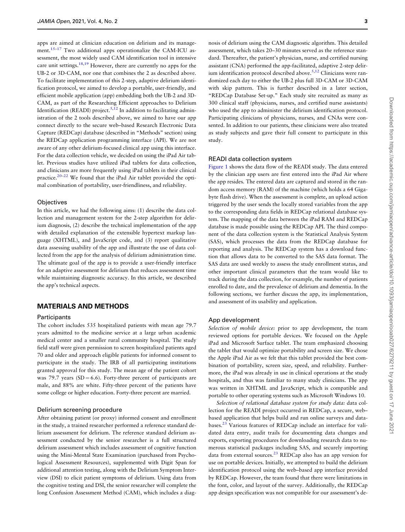apps are aimed at clinician education on delirium and its management.<sup>15–17</sup> Two additional apps operationalize the CAM-ICU assessment, the most widely used CAM identification tool in intensive care unit settings.<sup>18,[19](#page-10-0)</sup> However, there are currently no apps for the UB-2 or 3D-CAM, nor one that combines the 2 as described above. To facilitate implementation of this 2-step, adaptive delirium identification protocol, we aimed to develop a portable, user-friendly, and efficient mobile application (app) embedding both the UB-2 and 3D-CAM, as part of the Researching Efficient approaches to Delirium Identification (READI) project.<sup>[5](#page-9-0),[12](#page-9-0)</sup> In addition to facilitating administration of the 2 tools described above, we aimed to have our app connect directly to the secure web–based Research Electronic Data Capture (REDCap) database (described in "Methods" section) using the REDCap application programming interface (API). We are not aware of any other delirium-focused clinical app using this interface. For the data collection vehicle, we decided on using the iPad Air tablet. Previous studies have utilized iPad tablets for data collection, and clinicians are more frequently using iPad tablets in their clinical practice.[20–22](#page-10-0) We found that the iPad Air tablet provided the optimal combination of portability, user-friendliness, and reliability.

#### **Objectives**

In this article, we had the following aims: (1) describe the data collection and management system for the 2-step algorithm for delirium diagnosis, (2) describe the technical implementation of the app with detailed explanation of the extensible hypertext markup language (XHTML), and JavaScript code, and (3) report qualitative data assessing usability of the app and illustrate the use of data collected from the app for the analysis of delirium administration time. The ultimate goal of the app is to provide a user-friendly interface for an adaptive assessment for delirium that reduces assessment time while maintaining diagnostic accuracy. In this article, we described the app's technical aspects.

## MATERIALS AND METHODS

#### **Participants**

The cohort includes 535 hospitalized patients with mean age 79.7 years admitted to the medicine service at a large urban academic medical center and a smaller rural community hospital. The study field staff were given permission to screen hospitalized patients aged 70 and older and approach eligible patients for informed consent to participate in the study. The IRB of all participating institutions granted approval for this study. The mean age of the patient cohort was 79.7 years (SD = 6.6). Forty-three percent of participants are male, and 88% are white. Fifty-three percent of the patients have some college or higher education. Forty-three percent are married.

#### Delirium screening procedure

After obtaining patient (or proxy) informed consent and enrollment in the study, a trained researcher performed a reference standard delirium assessment for delirium. The reference standard delirium assessment conducted by the senior researcher is a full structured delirium assessment which includes assessment of cognitive function using the Mini-Mental State Examination (purchased from Psychological Assessment Resources), supplemented with Digit Span for additional attention testing, along with the Delirium Symptom Interview (DSI) to elicit patient symptoms of delirium. Using data from the cognitive testing and DSI, the senior researcher will complete the long Confusion Assessment Method (CAM), which includes a diagnosis of delirium using the CAM diagnostic algorithm. This detailed assessment, which takes 20–30 minutes served as the reference standard. Thereafter, the patient's physician, nurse, and certified nursing assistant (CNA) performed the app-facilitated, adaptive 2-step delirium identification protocol described above.<sup>5,12</sup> Clinicians were randomized each day to either the UB-2 plus full 3D-CAM or 3D-CAM with skip pattern. This is further described in a later section, "REDCap Database Set-up." Each study site recruited as many as 300 clinical staff (physicians, nurses, and certified nurse assistants) who used the app to administer the delirium identification protocol. Participating clinicians of physicians, nurses, and CNAs were consented. In addition to our patients, these clinicians were also treated as study subjects and gave their full consent to participate in this study.

#### READI data collection system

[Figure 1](#page-5-0) shows the data flow of the READI study. The data entered by the clinician app users are first entered into the iPad Air where the app resides. The entered data are captured and stored in the random access memory (RAM) of the machine (which holds a 64 Gigabyte flash drive). When the assessment is complete, an upload action triggered by the user sends the locally stored variables from the app to the corresponding data fields in REDCap relational database system. The mapping of the data between the iPad RAM and REDCap database is made possible using the REDCap API. The third component of the data collection system is the Statistical Analysis System (SAS), which processes the data from the REDCap database for reporting and analysis. The REDCap system has a download function that allows data to be converted to the SAS data format. The SAS data are used weekly to assess the study enrollment status, and other important clinical parameters that the team would like to track during the data collection, for example, the number of patients enrolled to date, and the prevalence of delirium and dementia. In the following sections, we further discuss the app, its implementation, and assessment of its usability and application.

### App development

Selection of mobile device: prior to app development, the team reviewed options for portable devices. We focused on the Apple iPad and Microsoft Surface tablet. The team emphasized choosing the tablet that would optimize portability and screen size. We chose the Apple iPad Air as we felt that this tablet provided the best combination of portability, screen size, speed, and reliability. Furthermore, the iPad was already in use in clinical operations at the study hospitals, and thus was familiar to many study clinicians. The app was written in XHTML and JavaScript, which is compatible and portable to other operating systems such as Microsoft Windows 10.

Selection of relational database system for study data: data collection for the READI project occurred in REDCap, a secure, web– based application that helps build and run online surveys and databases.<sup>23</sup> Various features of REDCap include an interface for validated data entry, audit trails for documenting data changes and exports, exporting procedures for downloading research data to numerous statistical packages including SAS, and securely importing data from external sources.<sup>23</sup> REDCap also has an app version for use on portable devices. Initially, we attempted to build the delirium identification protocol using the web–based app interface provided by REDCap. However, the team found that there were limitations in the font, color, and layout of the survey. Additionally, the REDCap app design specification was not compatible for our assessment's de-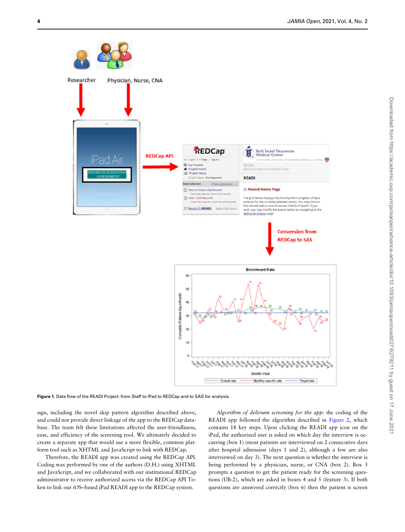<span id="page-5-0"></span>

Figure 1. Data flow of the READI Project: from Staff to iPad to REDCap and to SAS for analysis.

sign, including the novel skip pattern algorithm described above, and could not provide direct linkage of the app to the REDCap database. The team felt these limitations affected the user-friendliness, ease, and efficiency of the screening tool. We ultimately decided to create a separate app that would use a more flexible, common platform tool such as XHTML and JavaScript to link with REDCap.

Therefore, the READI app was created using the REDCap API. Coding was performed by one of the authors (D.H.) using XHTML and JavaScript, and we collaborated with our institutional REDCap administrator to receive authorized access via the REDCap API Token to link our iOS–based iPad READI app to the REDCap system.

Algorithm of delirium screening for the app: the coding of the READI app followed the algorithm described in [Figure 2,](#page-6-0) which contains 18 key steps. Upon clicking the READI app icon on the iPad, the authorized user is asked on which day the interview is occurring (box 1) (most patients are interviewed on 2 consecutive days after hospital admission (days 1 and 2), although a few are also interviewed on day 3). The next question is whether the interview is being performed by a physician, nurse, or CNA (box 2). Box 3 prompts a question to get the patient ready for the screening questions (UB-2), which are asked in boxes 4 and 5 (feature 3). If both questions are answered correctly (box 6) then the patient is screen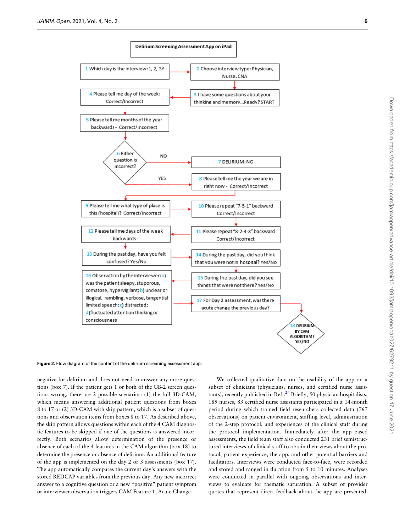Downloaded from https://academic.oup.com/jamiaopen/advance-article/doi/10.1093/jamiaopen/ooab027/6279211 by guest on 17 June 2021

Downloaded from https://academic.oup.com/jamiaopen/advance-article/doi/10.1093/jamiaopen/ooab027/6279211 by guest on 17 June 202

<span id="page-6-0"></span>

Figure 2. Flow diagram of the content of the delirium screening assessment app.

negative for delirium and does not need to answer any more questions (box 7). If the patient gets 1 or both of the UB-2 screen questions wrong, there are 2 possible scenarios: (1) the full 3D-CAM, which means answering additional patient questions from boxes 8 to 17 or (2) 3D-CAM with skip pattern, which is a subset of questions and observation items from boxes 8 to 17. As described above, the skip pattern allows questions within each of the 4 CAM diagnostic features to be skipped if one of the questions is answered incorrectly. Both scenarios allow determination of the presence or absence of each of the 4 features in the CAM algorithm (box 18) to determine the presence or absence of delirium. An additional feature of the app is implemented on the day 2 or 3 assessments (box 17). The app automatically compares the current day's answers with the stored REDCAP variables from the previous day. Any new incorrect answer to a cognitive question or a new "positive" patient symptom or interviewer observation triggers CAM Feature 1, Acute Change.

We collected qualitative data on the usability of the app on a subset of clinicians (physicians, nurses, and certified nurse assistants), recently published in Ref.. $^{24}$  Briefly, 50 physician hospitalists, 189 nurses, 83 certified nurse assistants participated in a 14-month period during which trained field researchers collected data (767 observations) on patient environment, staffing level, administration of the 2-step protocol, and experiences of the clinical staff during the protocol implementation. Immediately after the app–based assessments, the field team staff also conducted 231 brief semistructured interviews of clinical staff to obtain their views about the protocol, patient experience, the app, and other potential barriers and facilitators. Interviews were conducted face-to-face, were recorded and stored and ranged in duration from 5 to 10 minutes. Analyses were conducted in parallel with ongoing observations and interviews to evaluate for thematic saturation. A subset of provider quotes that represent direct feedback about the app are presented.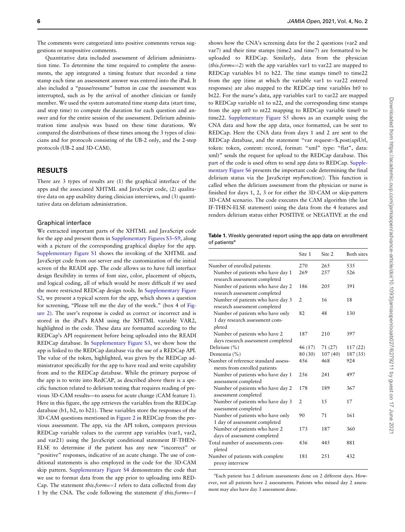The comments were categorized into positive comments versus suggestions or nonpositive comments.

Quantitative data included assessment of delirium administration time. To determine the time required to complete the assessments, the app integrated a timing feature that recorded a time stamp each time an assessment answer was entered into the iPad. It also included a "pause/resume" button in case the assessment was interrupted, such as by the arrival of another clinician or family member. We used the system automated time stamp data (start time, and stop time) to compute the duration for each question and answer and for the entire session of the assessment. Delirium administration time analysis was based on these time durations. We compared the distributions of these times among the 3 types of clinicians and for protocols consisting of the UB-2 only, and the 2-step protocols (UB-2 and 3D-CAM).

## RESULTS

There are 3 types of results are (1) the graphical interface of the apps and the associated XHTML and JavaScript code, (2) qualitative data on app usability during clinician interviews, and (3) quantitative data on delirium administration.

#### Graphical interface

We extracted important parts of the XHTML and JavaScript code for the app and present them in Supplementary Figures S3–S9, along with a picture of the corresponding graphical display for the app. Supplementary Figure S1 shows the invoking of the XHTML and JavaScript code from our server and the customization of the initial screen of the READI app. The code allows us to have full interface design flexibility in terms of font size, color, placement of objects, and logical coding, all of which would be more difficult if we used the more restricted REDCap design tools. In Supplementary Figure S2, we present a typical screen for the app, which shows a question for screening, "Please tell me the day of the week." (box 4 of [Fig](#page-6-0)[ure 2](#page-6-0)). The user's response is coded as correct or incorrect and is stored in the iPad's RAM using the XHTML variable VAR2, highlighted in the code. These data are formatted according to the REDCap's API requirement before being uploaded into the READI REDCap database. In Supplementary Figure S3, we show how the app is linked to the REDCap database via the use of a REDCap API. The value of the token, highlighted, was given by the REDCap administrator specifically for the app to have read and write capability from and to the REDCap database. While the primary purpose of the app is to write into RedCAP, as described above there is a specific function related to delirium testing that requires reading of previous 3D-CAM results—to assess for acute change (CAM feature 1). Here in this figure, the app retrieves the variables from the REDCap database (b1, b2, to b21). These variables store the responses of the 3D-CAM questions mentioned in [Figure 2](#page-6-0) in REDCap from the previous assessment. The app, via the API token, compares previous REDCap variable values to the current app variables (var1, var2, and var21) using the JavaScript conditional statement IF-THEN-ELSE to determine if the patient has any new "incorrect" or "positive" responses, indicative of an acute change. The use of conditional statements is also employed in the code for the 3D-CAM skip pattern. Supplementary Figure S4 demonstrates the code that we use to format data from the app prior to uploading into RED-Cap. The statement this.form==1 refers to data collected from day 1 by the CNA. The code following the statement if this.form==1

shows how the CNA's screening data for the 2 questions (var2 and var7) and their time stamps (time2 and time7) are formatted to be uploaded to REDCap. Similarly, data from the physician (*this.form*==2) with the app variables var1 to var22 are mapped to REDCap variables b1 to b22. The time stamps time0 to time22 from the app (time at which the variable var1 to var22 entered responses) are also mapped to the REDCap time variables bt0 to bt22. For the nurse's data, app variables var1 to var22 are mapped to REDCap variable n1 to n22, and the corresponding time stamps from the app nt0 to nt22 mapping to REDCap variable time0 to time22. Supplementary Figure S5 shows as an example using the CNA data and how the app data, once formatted, can be sent to REDCap. Here the CNA data from days 1 and 2 are sent to the REDCap database, and the statement "var request=\$.post(apiUrl, token: token, content: record, format: "xml" type: "flat", data: xml)" sends the request for upload to the REDCap database. This part of the code is used often to send app data to REDCap. Supplementary Figure S6 presents the important code determining the final delirium status via the JavaScript myFunction(). This function is called when the delirium assessment from the physician or nurse is finished for days 1, 2, 3 or for either the 3D-CAM or skip-pattern 3D-CAM scenario. The code executes the CAM algorithm (the last IF-THEN-ELSE statement) using the data from the 4 features and renders delirium status either POSITIVE or NEGATIVE at the end

Table 1. Weekly generated report using the app data on enrollment of patients<sup>a</sup>

|                                                                    | Site 1         | Site 2  | <b>Both</b> sites |
|--------------------------------------------------------------------|----------------|---------|-------------------|
| Number of enrolled patients                                        | 270            | 265     | 535               |
| Number of patients who have day 1                                  | 269            | 257     | 526               |
| research assessment completed                                      |                |         |                   |
| Number of patients who have day 2<br>research assessment completed | 186            | 20.5    | 391               |
| Number of patients who have day 3<br>research assessment completed | $\overline{2}$ | 16      | 18                |
| Number of patients who have only                                   | 82             | 48      | 130               |
| 1 day research assessment com-                                     |                |         |                   |
| pleted                                                             |                |         |                   |
| Number of patients who have 2                                      | 187            | 210     | 397               |
| days research assessment completed                                 |                |         |                   |
| Delirium (%)                                                       | 46 (17)        | 71 (27) | 117(22)           |
| Dementia (%)                                                       | 80 (30)        | 107(40) | 187 (35)          |
| Number of reference standard assess-                               | 456            | 468     | 924               |
| ments from enrolled patients                                       |                |         |                   |
| Number of patients who have day 1                                  | 2.56           | 241     | 497               |
| assessment completed                                               |                |         |                   |
| Number of patients who have day 2<br>assessment completed          | 178            | 189     | 367               |
| Number of patients who have day 3                                  | $\overline{2}$ | 15      | 17                |
| assessment completed                                               |                |         |                   |
| Number of patients who have only                                   | 90             | 71      | 161               |
| 1 day of assessment completed                                      |                |         |                   |
| Number of patients who have 2                                      | 173            | 187     | 360               |
| days of assessment completed                                       |                |         |                   |
| Total number of assessments com-                                   | 436            | 445     | 881               |
| pleted                                                             |                |         |                   |
| Number of patients with complete<br>proxy interview                | 181            | 2.51    | 432               |
|                                                                    |                |         |                   |

a Each patient has 2 delirium assessments done on 2 different days. However, not all patients have 2 assessments. Patients who missed day 2 assessment may also have day 3 assessment done.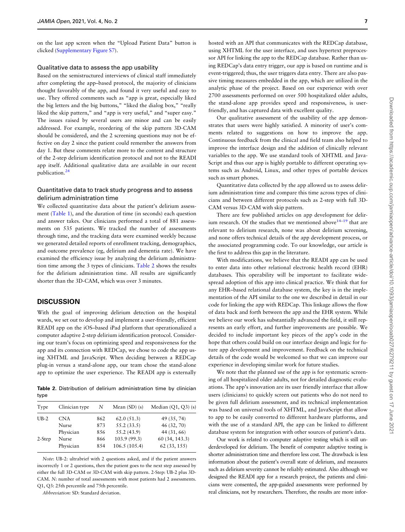on the last app screen when the "Upload Patient Data" button is clicked (Supplementary Figure S7).

### Qualitative data to assess the app usability

Based on the semistructured interviews of clinical staff immediately after completing the app–based protocol, the majority of clinicians thought favorably of the app, and found it very useful and easy to use. They offered comments such as "app is great, especially liked the big letters and the big buttons," "liked the dialog box," "really liked the skip pattern," and "app is very useful," and "super easy." The issues raised by several users are minor and can be easily addressed. For example, reordering of the skip pattern 3D-CAM should be considered, and the 2 screening questions may not be effective on day 2 since the patient could remember the answers from day 1. But these comments relate more to the content and structure of the 2-step delirium identification protocol and not to the READI app itself. Additional qualitative data are available in our recent publication.[24](#page-10-0)

## Quantitative data to track study progress and to assess delirium administration time

We collected quantitative data about the patient's delirium assessment (Table 1), and the duration of time (in seconds) each question and answer takes. Our clinicians performed a total of 881 assessments on 535 patients. We tracked the number of assessments through time, and the tracking data were examined weekly because we generated detailed reports of enrollment tracking, demographics, and outcome prevalence (eg, delirium and dementia rate). We have examined the efficiency issue by analyzing the delirium administration time among the 3 types of clinicians. Table 2 shows the results for the delirium administration time. All results are significantly shorter than the 3D-CAM, which was over 3 minutes.

### **DISCUSSION**

With the goal of improving delirium detection on the hospital wards, we set out to develop and implement a user-friendly, efficient READI app on the iOS–based iPad platform that operationalized a computer adaptive 2-step delirium identification protocol. Considering our team's focus on optimizing speed and responsiveness for the app and its connection with REDCap, we chose to code the app using XHTML and JavaScript. When deciding between a REDCap plug-in versus a stand-alone app, our team chose the stand-alone app to optimize the user experience. The READI app is externally

Table 2. Distribution of delirium administration time by clinician type

| Type   | Clinician type | Ν   | Mean $(SD)(s)$ | Median $(Q1, Q3)$ (s) |
|--------|----------------|-----|----------------|-----------------------|
| $UB-2$ | <b>CNA</b>     | 862 | 62.0(51.3)     | 49 (35, 74)           |
|        | Nurse          | 873 | 55.2(33.5)     | 46 (32, 70)           |
|        | Physician      | 856 | 55.2 (43.9)    | 44 (31, 66)           |
| 2-Step | Nurse          | 866 | 103.9 (99.3)   | 60 (34, 143.3)        |
|        | Physician      | 854 | 106.5(105.4)   | 62(33, 155)           |
|        |                |     |                |                       |

Note: UB-2: ultrabrief with 2 questions asked, and if the patient answers incorrectly 1 or 2 questions, then the patient goes to the next step assessed by either the full 3D-CAM or 3D-CAM with skip pattern. 2-Step: UB-2 plus 3D-CAM. N: number of total assessments with most patients had 2 assessments. Q1, Q3: 25th percentile and 75th percentile.

Abbreviation: SD: Standard deviation.

hosted with an API that communicates with the REDCap database, using XHTML for the user interface, and uses hypertext preprocessor API for linking the app to the REDCap database. Rather than using REDCap's data entry trigger, our app is based on runtime and is event-triggered; thus, the user triggers data entry. There are also passive timing measures embedded in the app, which are utilized in the analytic phase of the project. Based on our experience with over 2700 assessments performed on over 500 hospitalized older adults, the stand-alone app provides speed and responsiveness, is userfriendly, and has captured data with excellent quality.

Our qualitative assessment of the usability of the app demonstrates that users were highly satisfied. A minority of user's comments related to suggestions on how to improve the app. Continuous feedback from the clinical and field team also helped to improve the interface design and the addition of clinically relevant variables to the app. We use standard tools of XHTML and Java-Script and thus our app is highly portable to different operating systems such as Android, Linux, and other types of portable devices such as smart phones.

Quantitative data collected by the app allowed us to assess delirium administration time and compare this time across types of clinicians and between different protocols such as 2-step with full 3D-CAM versus 3D-CAM with skip pattern.

There are few published articles on app development for delirium research. Of the studies that we mentioned above  $14-19$  $14-19$  that are relevant to delirium research, none was about delirium screening, and none offers technical details of the app development process, or the associated programming code. To our knowledge, our article is the first to address this gap in the literature.

With modifications, we believe that the READI app can be used to enter data into other relational electronic health record (EHR) databases. This operability will be important to facilitate widespread adoption of this app into clinical practice. We think that for any EHR–based relational database system, the key is in the implementation of the API similar to the one we described in detail in our code for linking the app with REDCap. This linkage allows the flow of data back and forth between the app and the EHR system. While we believe our work has substantially advanced the field, it still represents an early effort, and further improvements are possible. We decided to include important key pieces of the app's code in the hope that others could build on our interface design and logic for future app development and improvement. Feedback on the technical details of the code would be welcomed so that we can improve our experience in developing similar work for future studies.

We note that the planned use of the app is for systematic screening of all hospitalized older adults, not for detailed diagnostic evaluations. The app's innovation are its user friendly interface that allow users (clinicians) to quickly screen out patients who do not need to be given full delirium assessment, and its technical implementation was based on universal tools of XHTML, and JavaScript that allow to app to be easily converted to different hardware platforms, and with the use of a standard API, the app can be linked to different database system for integration with other sources of patient's data.

Our work is related to computer adaptive testing which is still underdeveloped for delirium. The benefit of computer adaptive testing is shorter administration time and therefore less cost. The drawback is less information about the patient's overall state of delirium, and measures such as delirium severity cannot be reliably estimated. Also although we designed the READI app for a research project, the patients and clinicians were consented, the app-guided assessments were performed by real clinicians, not by researchers. Therefore, the results are more infor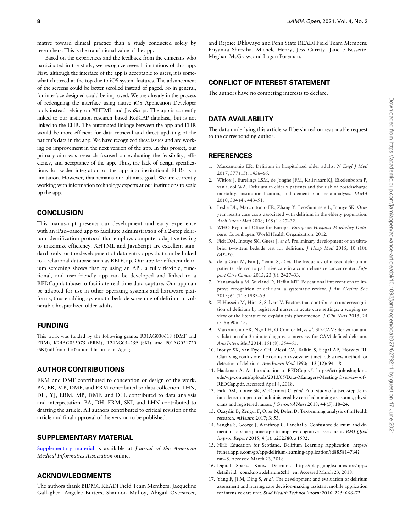<span id="page-9-0"></span>mative toward clinical practice than a study conducted solely by researchers. This is the translational value of the app.

Based on the experiences and the feedback from the clinicians who participated in the study, we recognize several limitations of this app. First, although the interface of the app is acceptable to users, it is somewhat cluttered at the top due to iOS system features. The advancement of the screens could be better scrolled instead of paged. So in general, for interface designed could be improved. We are already in the process of redesigning the interface using native iOS Application Developer tools instead relying on XHTML and JavaScript. The app is currently linked to our institution research–based RedCAP database, but is not linked to the EHR. The automated linkage between the app and EHR would be more efficient for data retrieval and direct updating of the patient's data in the app. We have recognized these issues and are working on improvement in the next version of the app. In this project, our primary aim was research focused on evaluating the feasibility, efficiency, and acceptance of the app. Thus, the lack of design specifications for wider integration of the app into institutional EHRs is a limitation. However, that remains our ultimate goal. We are currently working with information technology experts at our institutions to scale up the app.

## **CONCLUSION**

This manuscript presents our development and early experience with an iPad–based app to facilitate administration of a 2-step delirium identification protocol that employs computer adaptive testing to maximize efficiency. XHTML and JavaScript are excellent standard tools for the development of data entry apps that can be linked to a relational database such as REDCap. Our app for efficient delirium screening shows that by using an API, a fully flexible, functional, and user-friendly app can be developed and linked to a REDCap database to facilitate real time data capture. Our app can be adapted for use in other operating systems and hardware platforms, thus enabling systematic bedside screening of delirium in vulnerable hospitalized older adults.

## FUNDING

This work was funded by the following grants: R01AG030618 (DMF and ERM), K24AG035075 (ERM), R24AG054259 (SKI), and P01AG031720 (SKI) all from the National Institute on Aging.

## AUTHOR CONTRIBUTIONS

ERM and DMF contributed to conception or design of the work. BA, ER, MB, DMF, and ERM contributed to data collection. LHN, DH, YJ, ERM, MB, DMF, and DLL contributed to data analysis and interpretation. BA, DH, ERM, SKI, and LHN contributed to drafting the article. All authors contributed to critical revision of the article and final approval of the version to be published.

## SUPPLEMENTARY MATERIAL

Supplementary material is available at Journal of the American Medical Informatics Association online.

## ACKNOWLEDGMENTS

The authors thank BIDMC READI Field Team Members: Jacqueline Gallagher, Angelee Butters, Shannon Malloy, Abigail Overstreet, and Rejoice Dhliwayo and Penn State READI Field Team Members: Priyanka Shrestha, Michele Henry, Jess Garrity, Janelle Bessette, Meghan McGraw, and Logan Foreman.

## CONFLICT OF INTEREST STATEMENT

The authors have no competing interests to declare.

## DATA AVAILABILITY

The data underlying this article will be shared on reasonable request to the corresponding author.

#### REFERENCES

- 1. Marcantonio ER. Delirium in hospitalized older adults. N Engl J Med 2017; 377 (15): 1456–66.
- 2. Witlox J, Eurelings LSM, de Jonghe JFM, Kalisvaart KJ, Eikelenboom P, van Gool WA. Delirium in elderly patients and the risk of postdischarge mortality, institutionalization, and dementia: a meta-analysis. JAMA 2010; 304 (4): 443–51.
- 3. Leslie DL, Marcantonio ER, Zhang Y, Leo-Summers L, Inouye SK. Oneyear health care costs associated with delirium in the elderly population. Arch Intern Med 2008; 168 (1): 27–32.
- 4. WHO Regional Office for Europe. European Hospital Morbidity Database. Copenhagen: World Health Organization; 2012.
- 5. Fick DM, Inouye SK, Guess J, et al. Preliminary development of an ultrabrief two-item bedside test for delirium. J Hosp Med 2015; 10 (10): 645–50.
- 6. de la Cruz M, Fan J, Yennu S, et al. The frequency of missed delirium in patients referred to palliative care in a comprehensive cancer center. Support Care Cancer 2015; 23 (8): 2427–33.
- 7. Yanamadala M, Wieland D, Heflin MT. Educational interventions to improve recognition of delirium: a systematic review. J Am Geriatr Soc 2013; 61 (11): 1983–93.
- 8. El Hussein M, Hirst S, Salyers V. Factors that contribute to underrecognition of delirium by registered nurses in acute care settings: a scoping review of the literature to explain this phenomenon. J Clin Nurs 2015; 24 (7–8): 906–15.
- 9. Marcantonio ER, Ngo LH, O'Connor M, et al. 3D-CAM: derivation and validation of a 3-minute diagnostic interview for CAM-defined delirium. Ann Intern Med 2014; 161 (8): 554–61.
- 10. Inouye SK, van Dyck CH, Alessi CA, Balkin S, Siegal AP, Horwitz RI. Clarifying confusion: the confusion assessment method: a new method for detection of delirium. Ann Intern Med 1990; 113 (12): 941–8.
- 11. Hackman A. An Introduction to REDCap v5. [https://ictr.johnshopkins.](https://ictr.johnshopkins.edu/wp-content/uploads/2013/05/Data-Managers-Meeting-Overview-of-REDCap.pdf) [edu/wp-content/uploads/2013/05/Data-Managers-Meeting-Overview-of-](https://ictr.johnshopkins.edu/wp-content/uploads/2013/05/Data-Managers-Meeting-Overview-of-REDCap.pdf)[REDCap.pdf.](https://ictr.johnshopkins.edu/wp-content/uploads/2013/05/Data-Managers-Meeting-Overview-of-REDCap.pdf) Accessed April 4, 2018.
- 12. Fick DM, Inouye SK, McDermott C, et al. Pilot study of a two-step delirium detection protocol administered by certified nursing assistants, physicians and registered nurses. J Gerontol Nurs 2018; 44 (5): 18–24.
- 13. Ozaydin B, Zengul F, Oner N, Delen D. Text-mining analysis of mHealth research. mHealth 2017; 3: 53.
- 14. Sangha S, George J, Winthrop C, Panchal S. Confusion: delirium and dementia - a smartphone app to improve cognitive assessment. BMJ Qual Improv Report 2015; 4 (1): u202580.w1592.
- 15. NHS Education for Scotland. Delirium Learning Application. [https://](https://itunes.apple.com/gb/app/delirium-learning-application/id885814764?mt=8) [itunes.apple.com/gb/app/delirium-learning-application/id885814764?](https://itunes.apple.com/gb/app/delirium-learning-application/id885814764?mt=8) [mt](https://itunes.apple.com/gb/app/delirium-learning-application/id885814764?mt=8)=[8.](https://itunes.apple.com/gb/app/delirium-learning-application/id885814764?mt=8) Accessed March 23, 2018.
- 16. Digital Spark. Know Delirium. [https://play.google.com/store/apps/](https://play.google.com/store/apps/details?id=com.know.delirium&hx0026;hl=en) [details?id](https://play.google.com/store/apps/details?id=com.know.delirium&hx0026;hl=en)=[com.know.delirium&hl](https://play.google.com/store/apps/details?id=com.know.delirium&hx0026;hl=en)=[en](https://play.google.com/store/apps/details?id=com.know.delirium&hx0026;hl=en). Accessed March 23, 2018.
- 17. Yang F, Ji M, Ding S, et al. The development and evaluation of delirium assessment and nursing care decision-making assistant mobile application for intensive care unit. Stud Health Technol Inform 2016; 225: 668–72.